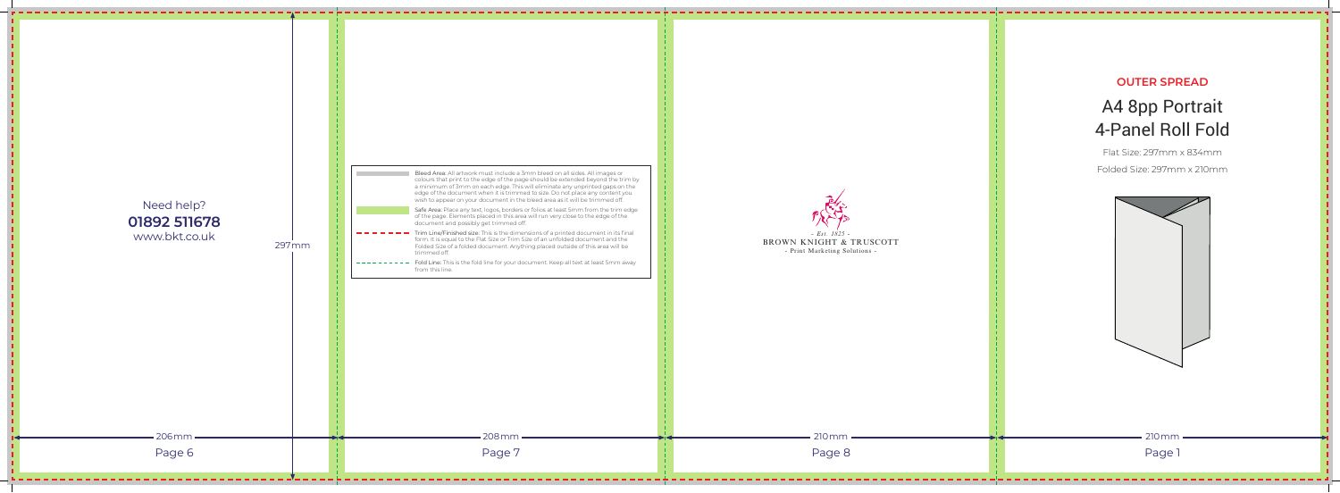## **OUTER SPREAD**

## A4 8pp Portrait 4-Panel Roll Fold

Flat Size: 297mm x 834mm Folded Size: 297mm x 210mm





| Bleed Area: All artwork must include a 3mm bleed on all sides. All images or<br>colours that print to the edge of the page should be extended beyond the trim by<br>a minimum of 3mm on each edge. This will eliminate any unprinted gaps on the<br>edge of the document when it is trimmed to size. Do not place any content you<br>wish to appear on your document in the bleed area as it will be trimmed off.<br>Safe Area: Place any text, logos, borders or folios at least 5mm from the trim edge<br>of the page. Elements placed in this area will run very close to the edge of the<br>document and possibly get trimmed off.<br>Trim Line/Finished size: This is the dimensions of a printed document in its final<br>form. It is equal to the Flat Size or Trim Size of an unfolded document and the<br>Folded Size of a folded document. Anything placed outside of this area will be<br>trimmed off.<br>Fold Line: This is the fold line for your document. Keep all text at least 5mm away<br>from this line. | $- Est. 1825 -$<br>BROWN KNIGHT & TRUSCOTT<br>- Print Marketing Solutions - | <b>OUTER SPF</b><br>A4 8pp Po<br>4-Panel Ro<br>Flat Size: 297mm<br>Folded Size: 297mr |
|-----------------------------------------------------------------------------------------------------------------------------------------------------------------------------------------------------------------------------------------------------------------------------------------------------------------------------------------------------------------------------------------------------------------------------------------------------------------------------------------------------------------------------------------------------------------------------------------------------------------------------------------------------------------------------------------------------------------------------------------------------------------------------------------------------------------------------------------------------------------------------------------------------------------------------------------------------------------------------------------------------------------------------|-----------------------------------------------------------------------------|---------------------------------------------------------------------------------------|
| 208 mm<br>Page 7                                                                                                                                                                                                                                                                                                                                                                                                                                                                                                                                                                                                                                                                                                                                                                                                                                                                                                                                                                                                            | 210 mm<br>Page 8                                                            | $210 \, \text{mm}$<br>Page 1                                                          |
|                                                                                                                                                                                                                                                                                                                                                                                                                                                                                                                                                                                                                                                                                                                                                                                                                                                                                                                                                                                                                             |                                                                             |                                                                                       |

- 11 -